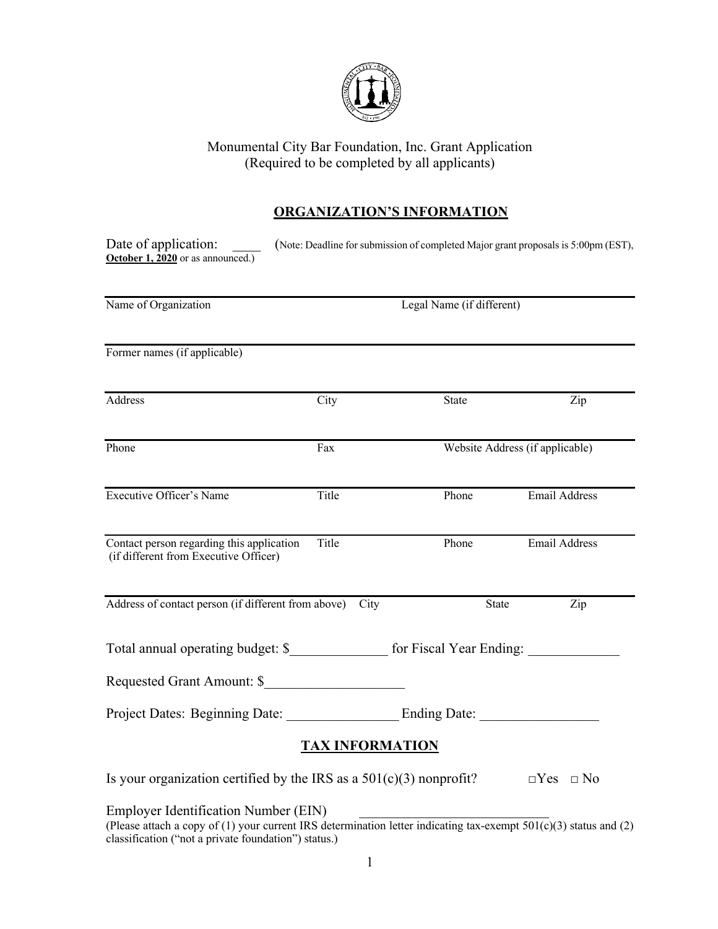

### Monumental City Bar Foundation, Inc. Grant Application (Required to be completed by all applicants)

# **ORGANIZATION'S INFORMATION**

| Date of application:<br>October 1, 2020 or as announced.)                                                                                                                                                         |                           |                                 | (Note: Deadline for submission of completed Major grant proposals is 5:00pm (EST), |  |
|-------------------------------------------------------------------------------------------------------------------------------------------------------------------------------------------------------------------|---------------------------|---------------------------------|------------------------------------------------------------------------------------|--|
| Name of Organization                                                                                                                                                                                              | Legal Name (if different) |                                 |                                                                                    |  |
| Former names (if applicable)                                                                                                                                                                                      |                           |                                 |                                                                                    |  |
| Address                                                                                                                                                                                                           | City                      | State                           | Zip                                                                                |  |
| Phone                                                                                                                                                                                                             | Fax                       | Website Address (if applicable) |                                                                                    |  |
| Executive Officer's Name                                                                                                                                                                                          | Title                     | Phone                           | <b>Email Address</b>                                                               |  |
| Contact person regarding this application<br>(if different from Executive Officer)                                                                                                                                | Title                     | Phone                           | <b>Email Address</b>                                                               |  |
| Address of contact person (if different from above)                                                                                                                                                               | City                      | State                           | Zip                                                                                |  |
| Total annual operating budget: \$_________________ for Fiscal Year Ending: _____                                                                                                                                  |                           |                                 |                                                                                    |  |
| Requested Grant Amount: \$                                                                                                                                                                                        |                           |                                 |                                                                                    |  |
|                                                                                                                                                                                                                   |                           |                                 |                                                                                    |  |
|                                                                                                                                                                                                                   | <b>TAX INFORMATION</b>    |                                 |                                                                                    |  |
| Is your organization certified by the IRS as a $501(c)(3)$ nonprofit?                                                                                                                                             |                           |                                 | $\Box Yes \Box No$                                                                 |  |
| Employer Identification Number (EIN)<br>(Please attach a copy of (1) your current IRS determination letter indicating tax-exempt 501(c)(3) status and (2)<br>classification ("not a private foundation") status.) |                           |                                 |                                                                                    |  |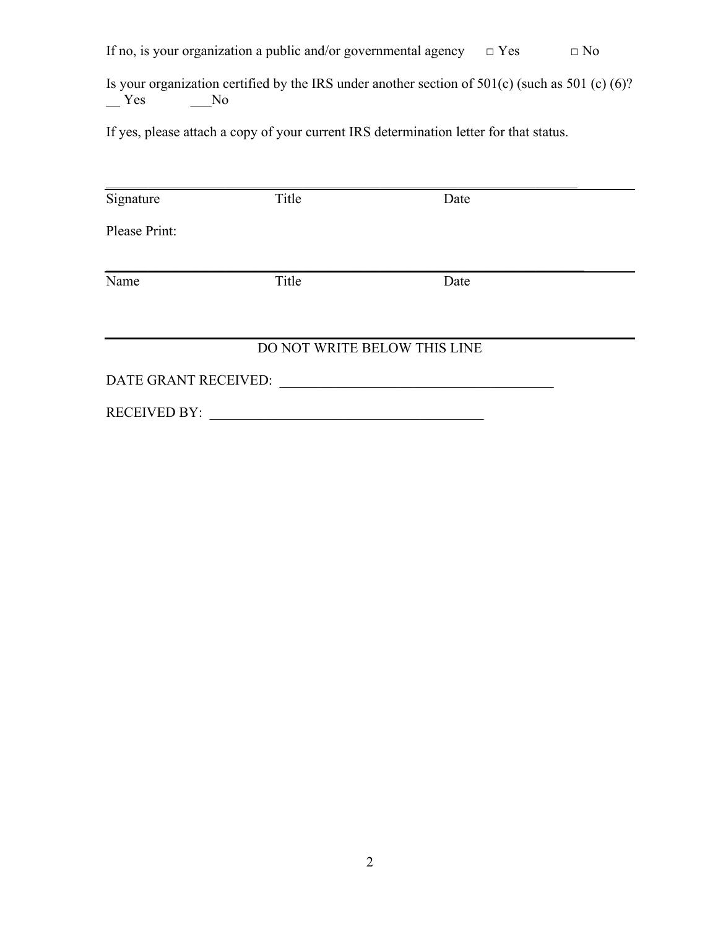If no, is your organization a public and/or governmental agency  $□$  Yes  $□$  No

Is your organization certified by the IRS under another section of 501(c) (such as 501 (c) (6)?<br>Yes No  $Y$ es

If yes, please attach a copy of your current IRS determination letter for that status.

| Signature            | Title | Date                         |  |
|----------------------|-------|------------------------------|--|
| Please Print:        |       |                              |  |
| Name                 | Title | Date                         |  |
|                      |       | DO NOT WRITE BELOW THIS LINE |  |
| DATE GRANT RECEIVED: |       |                              |  |
| <b>RECEIVED BY:</b>  |       |                              |  |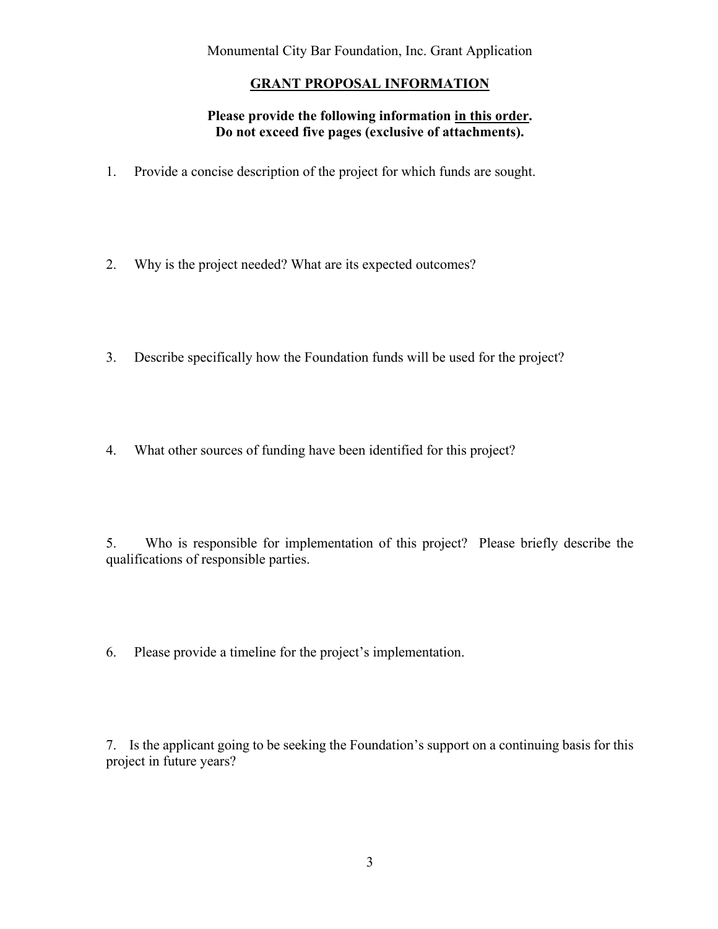Monumental City Bar Foundation, Inc. Grant Application

## **GRANT PROPOSAL INFORMATION**

### **Please provide the following information in this order. Do not exceed five pages (exclusive of attachments).**

- 1. Provide a concise description of the project for which funds are sought.
- 2. Why is the project needed? What are its expected outcomes?
- 3. Describe specifically how the Foundation funds will be used for the project?
- 4. What other sources of funding have been identified for this project?

5. Who is responsible for implementation of this project? Please briefly describe the qualifications of responsible parties.

6. Please provide a timeline for the project's implementation.

7. Is the applicant going to be seeking the Foundation's support on a continuing basis for this project in future years?